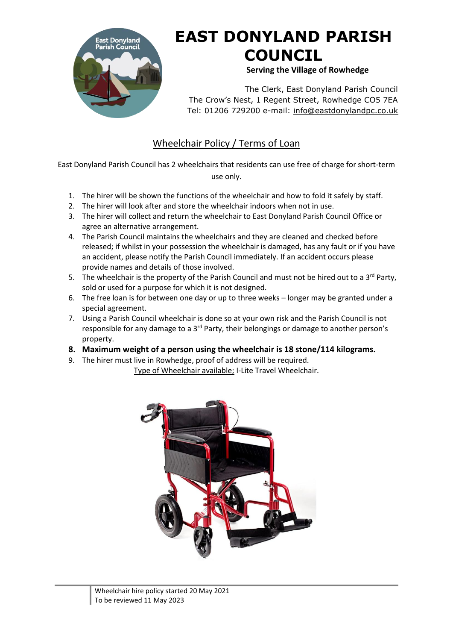

## **EAST DONYLAND PARISH COUNCIL**

 **Serving the Village of Rowhedge**

The Clerk, East Donyland Parish Council The Crow's Nest, 1 Regent Street, Rowhedge CO5 7EA Tel: 01206 729200 e-mail: [info@eastdonylandpc.co.uk](mailto:info@eastdonylandpc.co.uk)

## Wheelchair Policy / Terms of Loan

East Donyland Parish Council has 2 wheelchairs that residents can use free of charge for short-term use only.

- 1. The hirer will be shown the functions of the wheelchair and how to fold it safely by staff.
- 2. The hirer will look after and store the wheelchair indoors when not in use.
- 3. The hirer will collect and return the wheelchair to East Donyland Parish Council Office or agree an alternative arrangement.
- 4. The Parish Council maintains the wheelchairs and they are cleaned and checked before released; if whilst in your possession the wheelchair is damaged, has any fault or if you have an accident, please notify the Parish Council immediately. If an accident occurs please provide names and details of those involved.
- 5. The wheelchair is the property of the Parish Council and must not be hired out to a  $3^{rd}$  Party, sold or used for a purpose for which it is not designed.
- 6. The free loan is for between one day or up to three weeks longer may be granted under a special agreement.
- 7. Using a Parish Council wheelchair is done so at your own risk and the Parish Council is not responsible for any damage to a  $3^{rd}$  Party, their belongings or damage to another person's property.
- **8. Maximum weight of a person using the wheelchair is 18 stone/114 kilograms.**
- 9. The hirer must live in Rowhedge, proof of address will be required.

Type of Wheelchair available; I-Lite Travel Wheelchair.